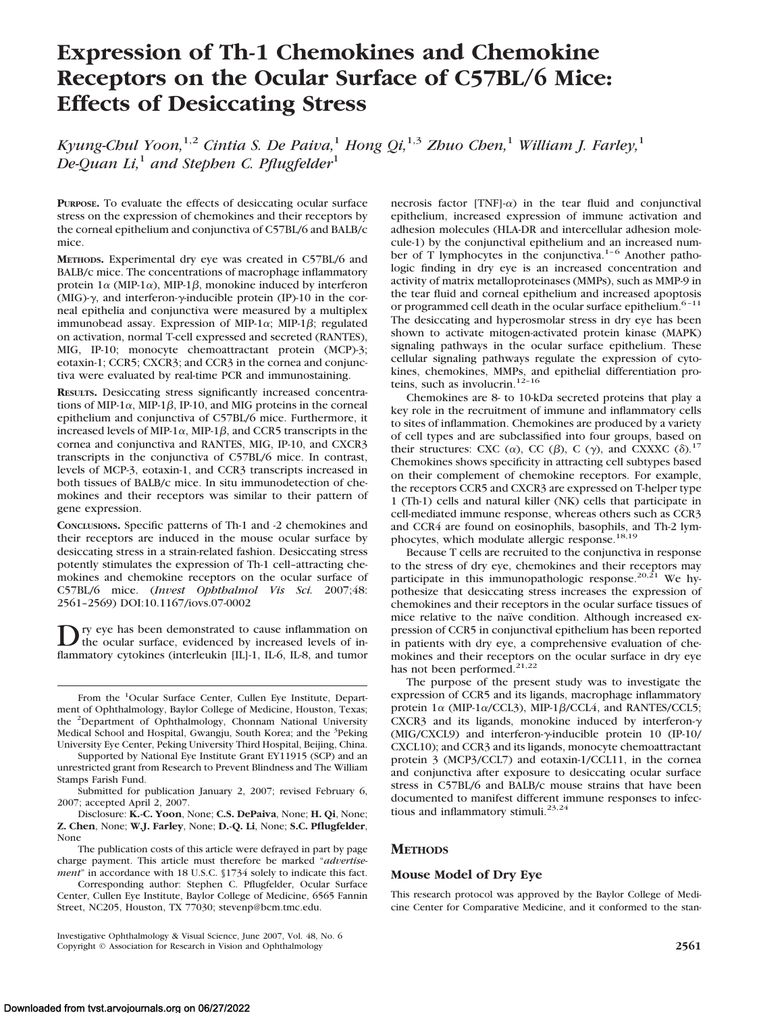# **Expression of Th-1 Chemokines and Chemokine Receptors on the Ocular Surface of C57BL/6 Mice: Effects of Desiccating Stress**

*Kyung-Chul Yoon,*1,2 *Cintia S. De Paiva,*<sup>1</sup> *Hong Qi,*1,3 *Zhuo Chen,*<sup>1</sup> *William J. Farley,*<sup>1</sup> *De-Quan Li,*<sup>1</sup> *and Stephen C. Pflugfelder*<sup>1</sup>

**PURPOSE.** To evaluate the effects of desiccating ocular surface stress on the expression of chemokines and their receptors by the corneal epithelium and conjunctiva of C57BL/6 and BALB/c mice.

**METHODS.** Experimental dry eye was created in C57BL/6 and BALB/c mice. The concentrations of macrophage inflammatory protein  $1\alpha$  (MIP-1 $\alpha$ ), MIP-1 $\beta$ , monokine induced by interferon (MIG)- $\gamma$ , and interferon- $\gamma$ -inducible protein (IP)-10 in the corneal epithelia and conjunctiva were measured by a multiplex immunobead assay. Expression of MIP-1 $\alpha$ ; MIP-1 $\beta$ ; regulated on activation, normal T-cell expressed and secreted (RANTES), MIG, IP-10; monocyte chemoattractant protein (MCP)-3; eotaxin-1; CCR5; CXCR3; and CCR3 in the cornea and conjunctiva were evaluated by real-time PCR and immunostaining.

**RESULTS.** Desiccating stress significantly increased concentrations of MIP-1 $\alpha$ , MIP-1 $\beta$ , IP-10, and MIG proteins in the corneal epithelium and conjunctiva of C57BL/6 mice. Furthermore, it increased levels of MIP-1 $\alpha$ , MIP-1 $\beta$ , and CCR5 transcripts in the cornea and conjunctiva and RANTES, MIG, IP-10, and CXCR3 transcripts in the conjunctiva of C57BL/6 mice. In contrast, levels of MCP-3, eotaxin-1, and CCR3 transcripts increased in both tissues of BALB/c mice. In situ immunodetection of chemokines and their receptors was similar to their pattern of gene expression.

**CONCLUSIONS.** Specific patterns of Th-1 and -2 chemokines and their receptors are induced in the mouse ocular surface by desiccating stress in a strain-related fashion. Desiccating stress potently stimulates the expression of Th-1 cell–attracting chemokines and chemokine receptors on the ocular surface of C57BL/6 mice. (*Invest Ophthalmol Vis Sci.* 2007;48: 2561–2569) DOI:10.1167/iovs.07-0002

 $\sum$  ry eye has been demonstrated to cause inflammation on<br>the ocular surface, evidenced by increased levels of inflammatory cytokines (interleukin [IL]-1, IL-6, IL-8, and tumor

Supported by National Eye Institute Grant EY11915 (SCP) and an unrestricted grant from Research to Prevent Blindness and The William Stamps Farish Fund.

Submitted for publication January 2, 2007; revised February 6, 2007; accepted April 2, 2007.

Disclosure: **K.-C. Yoon**, None; **C.S. DePaiva**, None; **H. Qi**, None; **Z. Chen**, None; **W.J. Farley**, None; **D.-Q. Li**, None; **S.C. Pflugfelder**, None

The publication costs of this article were defrayed in part by page charge payment. This article must therefore be marked "*advertisement*" in accordance with 18 U.S.C. §1734 solely to indicate this fact.

Corresponding author: Stephen C. Pflugfelder, Ocular Surface Center, Cullen Eye Institute, Baylor College of Medicine, 6565 Fannin Street, NC205, Houston, TX 77030; stevenp@bcm.tmc.edu.

necrosis factor [TNF]- $\alpha$ ) in the tear fluid and conjunctival epithelium, increased expression of immune activation and adhesion molecules (HLA-DR and intercellular adhesion molecule-1) by the conjunctival epithelium and an increased number of T lymphocytes in the conjunctiva.<sup>1-6</sup> Another pathologic finding in dry eye is an increased concentration and activity of matrix metalloproteinases (MMPs), such as MMP-9 in the tear fluid and corneal epithelium and increased apoptosis or programmed cell death in the ocular surface epithelium.<sup>6-11</sup> The desiccating and hyperosmolar stress in dry eye has been shown to activate mitogen-activated protein kinase (MAPK) signaling pathways in the ocular surface epithelium. These cellular signaling pathways regulate the expression of cytokines, chemokines, MMPs, and epithelial differentiation pro-<br>teins, such as involucrin.<sup>12–16</sup>

Chemokines are 8- to 10-kDa secreted proteins that play a key role in the recruitment of immune and inflammatory cells to sites of inflammation. Chemokines are produced by a variety of cell types and are subclassified into four groups, based on their structures: CXC ( $\alpha$ ), CC ( $\beta$ ), C ( $\gamma$ ), and CXXXC ( $\delta$ ).<sup>17</sup> Chemokines shows specificity in attracting cell subtypes based on their complement of chemokine receptors. For example, the receptors CCR5 and CXCR3 are expressed on T-helper type 1 (Th-1) cells and natural killer (NK) cells that participate in cell-mediated immune response, whereas others such as CCR3 and CCR4 are found on eosinophils, basophils, and Th-2 lymphocytes, which modulate allergic response.18,19

Because T cells are recruited to the conjunctiva in response to the stress of dry eye, chemokines and their receptors may participate in this immunopathologic response.<sup>20,21</sup> We hypothesize that desiccating stress increases the expression of chemokines and their receptors in the ocular surface tissues of mice relative to the naïve condition. Although increased expression of CCR5 in conjunctival epithelium has been reported in patients with dry eye, a comprehensive evaluation of chemokines and their receptors on the ocular surface in dry eye has not been performed.<sup>21,22</sup>

The purpose of the present study was to investigate the expression of CCR5 and its ligands, macrophage inflammatory protein  $1\alpha$  (MIP-1 $\alpha$ /CCL3), MIP-1 $\beta$ /CCL4, and RANTES/CCL5; CXCR3 and its ligands, monokine induced by interferon- $\gamma$ (MIG/CXCL9) and interferon- $\gamma$ -inducible protein 10 (IP-10/ CXCL10); and CCR3 and its ligands, monocyte chemoattractant protein 3 (MCP3/CCL7) and eotaxin-1/CCL11, in the cornea and conjunctiva after exposure to desiccating ocular surface stress in C57BL/6 and BALB/c mouse strains that have been documented to manifest different immune responses to infectious and inflammatory stimuli.<sup>23,24</sup>

# **METHODS**

## **Mouse Model of Dry Eye**

This research protocol was approved by the Baylor College of Medicine Center for Comparative Medicine, and it conformed to the stan-

From the <sup>1</sup>Ocular Surface Center, Cullen Eye Institute, Department of Ophthalmology, Baylor College of Medicine, Houston, Texas; the <sup>2</sup>Department of Ophthalmology, Chonnam National University Medical School and Hospital, Gwangju, South Korea; and the <sup>3</sup>Peking University Eye Center, Peking University Third Hospital, Beijing, China.

Investigative Ophthalmology & Visual Science, June 2007, Vol. 48, No. 6 Copyright © Association for Research in Vision and Ophthalmology **2561**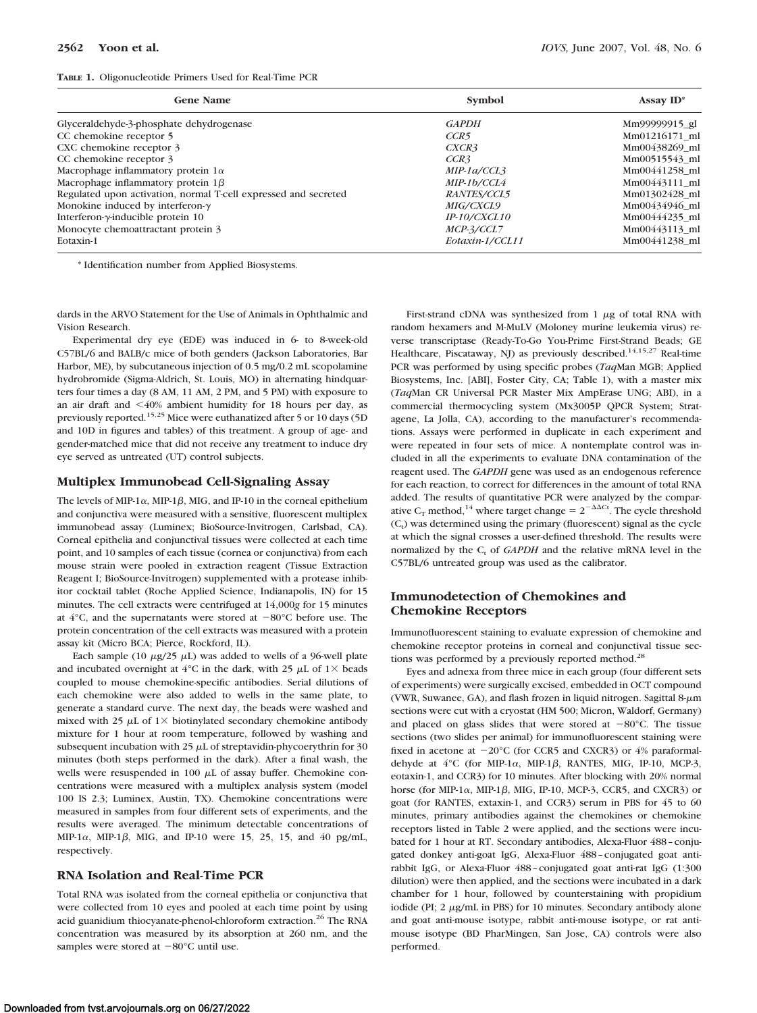|  | <b>TABLE 1.</b> Oligonucleotide Primers Used for Real-Time PCR |  |  |  |  |
|--|----------------------------------------------------------------|--|--|--|--|
|--|----------------------------------------------------------------|--|--|--|--|

| <b>Gene Name</b>                                                | <b>Symbol</b>       | Assay ID*     |
|-----------------------------------------------------------------|---------------------|---------------|
| Glyceraldehyde-3-phosphate dehydrogenase                        | <b>GAPDH</b>        | Mm99999915 gl |
| CC chemokine receptor 5                                         | CCR5                | Mm01216171 ml |
| CXC chemokine receptor 3                                        | CXCR3               | Mm00438269 ml |
| CC chemokine receptor 3                                         | CCR3                | Mm00515543 ml |
| Macrophage inflammatory protein $1\alpha$                       | $MIP-1a/CCL3$       | Mm00441258 ml |
| Macrophage inflammatory protein $1\beta$                        | MIP-1b/CCL4         | Mm00443111 ml |
| Regulated upon activation, normal T-cell expressed and secreted | <b>RANTES/CCL5</b>  | Mm01302428 ml |
| Monokine induced by interferon- $\gamma$                        | <i>MIG/CXCL9</i>    | Mm00434946 ml |
| Interferon-y-inducible protein 10                               | <i>IP-10/CXCL10</i> | Mm00444235 ml |
| Monocyte chemoattractant protein 3                              | MCP-3/CCL7          | Mm00443113 ml |
| Eotaxin-1                                                       | Eotaxin-1/CCL11     | Mm00441238 ml |

\* Identification number from Applied Biosystems.

dards in the ARVO Statement for the Use of Animals in Ophthalmic and Vision Research.

Experimental dry eye (EDE) was induced in 6- to 8-week-old C57BL/6 and BALB/c mice of both genders (Jackson Laboratories, Bar Harbor, ME), by subcutaneous injection of 0.5 mg/0.2 mL scopolamine hydrobromide (Sigma-Aldrich, St. Louis, MO) in alternating hindquarters four times a day (8 AM, 11 AM, 2 PM, and 5 PM) with exposure to an air draft and  $\leq 40\%$  ambient humidity for 18 hours per day, as previously reported.15,25 Mice were euthanatized after 5 or 10 days (5D and 10D in figures and tables) of this treatment. A group of age- and gender-matched mice that did not receive any treatment to induce dry eye served as untreated (UT) control subjects.

#### **Multiplex Immunobead Cell-Signaling Assay**

The levels of MIP-1 $\alpha$ , MIP-1 $\beta$ , MIG, and IP-10 in the corneal epithelium and conjunctiva were measured with a sensitive, fluorescent multiplex immunobead assay (Luminex; BioSource-Invitrogen, Carlsbad, CA). Corneal epithelia and conjunctival tissues were collected at each time point, and 10 samples of each tissue (cornea or conjunctiva) from each mouse strain were pooled in extraction reagent (Tissue Extraction Reagent I; BioSource-Invitrogen) supplemented with a protease inhibitor cocktail tablet (Roche Applied Science, Indianapolis, IN) for 15 minutes. The cell extracts were centrifuged at 14,000*g* for 15 minutes at  $4^{\circ}$ C, and the supernatants were stored at  $-80^{\circ}$ C before use. The protein concentration of the cell extracts was measured with a protein assay kit (Micro BCA; Pierce, Rockford, IL).

Each sample (10  $\mu$ g/25  $\mu$ L) was added to wells of a 96-well plate and incubated overnight at 4°C in the dark, with 25  $\mu$ L of 1× beads coupled to mouse chemokine-specific antibodies. Serial dilutions of each chemokine were also added to wells in the same plate, to generate a standard curve. The next day, the beads were washed and mixed with 25  $\mu$ L of 1× biotinylated secondary chemokine antibody mixture for 1 hour at room temperature, followed by washing and subsequent incubation with 25  $\mu$ L of streptavidin-phycoerythrin for 30 minutes (both steps performed in the dark). After a final wash, the wells were resuspended in 100  $\mu$ L of assay buffer. Chemokine concentrations were measured with a multiplex analysis system (model 100 IS 2.3; Luminex, Austin, TX). Chemokine concentrations were measured in samples from four different sets of experiments, and the results were averaged. The minimum detectable concentrations of MIP-1 $\alpha$ , MIP-1 $\beta$ , MIG, and IP-10 were 15, 25, 15, and 40 pg/mL, respectively.

#### **RNA Isolation and Real-Time PCR**

Total RNA was isolated from the corneal epithelia or conjunctiva that were collected from 10 eyes and pooled at each time point by using acid guanidium thiocyanate-phenol-chloroform extraction.<sup>26</sup> The RNA concentration was measured by its absorption at 260 nm, and the samples were stored at  $-80^{\circ}$ C until use.

First-strand cDNA was synthesized from 1  $\mu$ g of total RNA with random hexamers and M-MuLV (Moloney murine leukemia virus) reverse transcriptase (Ready-To-Go You-Prime First-Strand Beads; GE Healthcare, Piscataway, NJ) as previously described.<sup>14,15,27</sup> Real-time PCR was performed by using specific probes (*Taq*Man MGB; Applied Biosystems, Inc. [ABI], Foster City, CA; Table 1), with a master mix (*Taq*Man CR Universal PCR Master Mix AmpErase UNG; ABI), in a commercial thermocycling system (Mx3005P QPCR System; Stratagene, La Jolla, CA), according to the manufacturer's recommendations. Assays were performed in duplicate in each experiment and were repeated in four sets of mice. A nontemplate control was included in all the experiments to evaluate DNA contamination of the reagent used. The *GAPDH* gene was used as an endogenous reference for each reaction, to correct for differences in the amount of total RNA added. The results of quantitative PCR were analyzed by the comparative C<sub>T</sub> method,<sup>14</sup> where target change =  $2^{-\Delta\Delta Ct}$ . The cycle threshold  $(C_t)$  was determined using the primary (fluorescent) signal as the cycle at which the signal crosses a user-defined threshold. The results were normalized by the  $C_t$  of *GAPDH* and the relative mRNA level in the C57BL/6 untreated group was used as the calibrator.

# **Immunodetection of Chemokines and Chemokine Receptors**

Immunofluorescent staining to evaluate expression of chemokine and chemokine receptor proteins in corneal and conjunctival tissue sections was performed by a previously reported method.<sup>28</sup>

Eyes and adnexa from three mice in each group (four different sets of experiments) were surgically excised, embedded in OCT compound (VWR, Suwanee, GA), and flash frozen in liquid nitrogen. Sagittal  $8-\mu m$ sections were cut with a cryostat (HM 500; Micron, Waldorf, Germany) and placed on glass slides that were stored at  $-80^{\circ}$ C. The tissue sections (two slides per animal) for immunofluorescent staining were fixed in acetone at  $-20^{\circ}$ C (for CCR5 and CXCR3) or 4% paraformaldehyde at  $4^{\circ}$ C (for MIP-1 $\alpha$ , MIP-1 $\beta$ , RANTES, MIG, IP-10, MCP-3, eotaxin-1, and CCR3) for 10 minutes. After blocking with 20% normal horse (for MIP-1 $\alpha$ , MIP-1 $\beta$ , MIG, IP-10, MCP-3, CCR5, and CXCR3) or goat (for RANTES, extaxin-1, and CCR3) serum in PBS for 45 to 60 minutes, primary antibodies against the chemokines or chemokine receptors listed in Table 2 were applied, and the sections were incubated for 1 hour at RT. Secondary antibodies, Alexa-Fluor 488 - conjugated donkey anti-goat IgG, Alexa-Fluor 488-conjugated goat antirabbit IgG, or Alexa-Fluor 488-conjugated goat anti-rat IgG (1:300 dilution) were then applied, and the sections were incubated in a dark chamber for 1 hour, followed by counterstaining with propidium iodide (PI;  $2 \mu g/mL$  in PBS) for 10 minutes. Secondary antibody alone and goat anti-mouse isotype, rabbit anti-mouse isotype, or rat antimouse isotype (BD PharMingen, San Jose, CA) controls were also performed.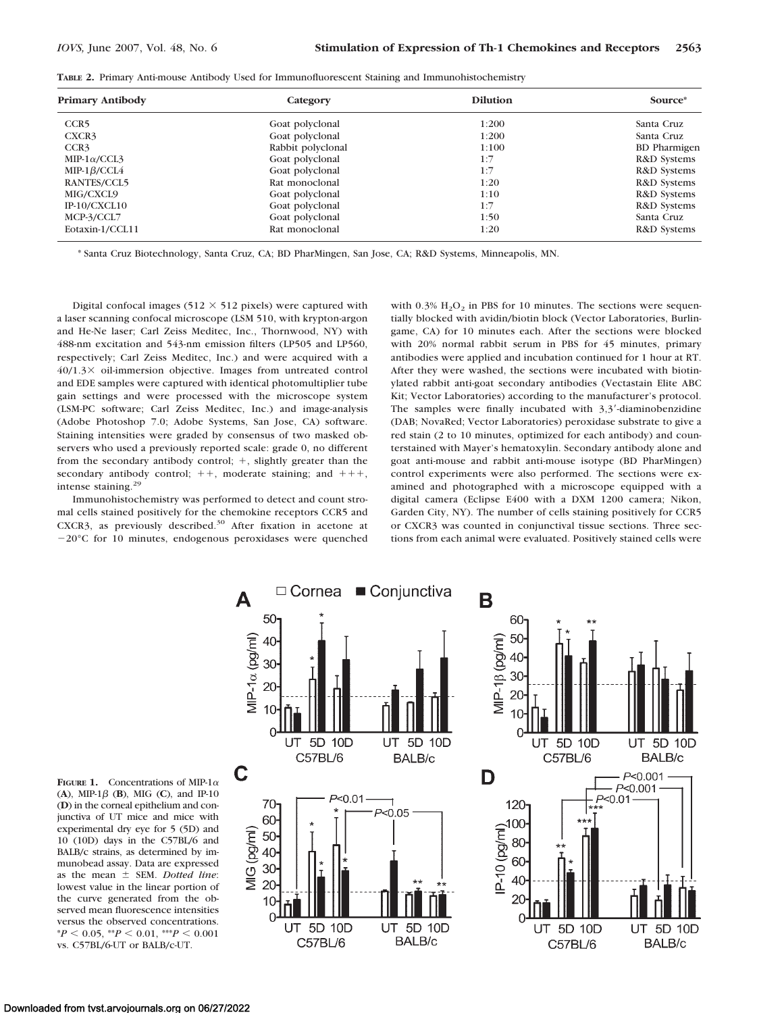| <b>Primary Antibody</b> | Category          | <b>Dilution</b> | Source*             |
|-------------------------|-------------------|-----------------|---------------------|
| CCR <sub>5</sub>        | Goat polyclonal   | 1:200           | Santa Cruz          |
| CXCR3                   | Goat polyclonal   | 1:200           | Santa Cruz          |
| CCR3                    | Rabbit polyclonal | 1:100           | <b>BD</b> Pharmigen |
| MIP-1 $\alpha$ /CCL3    | Goat polyclonal   | 1:7             | R&D Systems         |
| MIP-1 $\beta$ /CCL4     | Goat polyclonal   | 1:7             | R&D Systems         |
| RANTES/CCL5             | Rat monoclonal    | 1:20            | R&D Systems         |

MIG/CXCL9 Goat polyclonal 1:10 R&D Systems IP-10/CXCL10 Goat polyclonal 1:7 R&D Systems MCP-3/CCL7 Goat polyclonal 1:50 Santa Cruz Eotaxin-1/CCL11 Rat monoclonal 1:20 R&D Systems

**TABLE 2.** Primary Anti-mouse Antibody Used for Immunofluorescent Staining and Immunohistochemistry

\* Santa Cruz Biotechnology, Santa Cruz, CA; BD PharMingen, San Jose, CA; R&D Systems, Minneapolis, MN.

Digital confocal images (512  $\times$  512 pixels) were captured with a laser scanning confocal microscope (LSM 510, with krypton-argon and He-Ne laser; Carl Zeiss Meditec, Inc., Thornwood, NY) with 488-nm excitation and 543-nm emission filters (LP505 and LP560, respectively; Carl Zeiss Meditec, Inc.) and were acquired with a  $40/1.3\times$  oil-immersion objective. Images from untreated control and EDE samples were captured with identical photomultiplier tube gain settings and were processed with the microscope system (LSM-PC software; Carl Zeiss Meditec, Inc.) and image-analysis (Adobe Photoshop 7.0; Adobe Systems, San Jose, CA) software. Staining intensities were graded by consensus of two masked observers who used a previously reported scale: grade 0, no different from the secondary antibody control;  $+$ , slightly greater than the secondary antibody control;  $++$ , moderate staining; and  $++$ , intense staining.<sup>29</sup>

Immunohistochemistry was performed to detect and count stromal cells stained positively for the chemokine receptors CCR5 and CXCR3, as previously described.<sup>30</sup> After fixation in acetone at -20°C for 10 minutes, endogenous peroxidases were quenched

with  $0.3\%$  H<sub>2</sub>O<sub>2</sub> in PBS for 10 minutes. The sections were sequentially blocked with avidin/biotin block (Vector Laboratories, Burlingame, CA) for 10 minutes each. After the sections were blocked with 20% normal rabbit serum in PBS for 45 minutes, primary antibodies were applied and incubation continued for 1 hour at RT. After they were washed, the sections were incubated with biotinylated rabbit anti-goat secondary antibodies (Vectastain Elite ABC Kit; Vector Laboratories) according to the manufacturer's protocol. The samples were finally incubated with  $3.3'$ -diaminobenzidine (DAB; NovaRed; Vector Laboratories) peroxidase substrate to give a red stain (2 to 10 minutes, optimized for each antibody) and counterstained with Mayer's hematoxylin. Secondary antibody alone and goat anti-mouse and rabbit anti-mouse isotype (BD PharMingen) control experiments were also performed. The sections were examined and photographed with a microscope equipped with a digital camera (Eclipse E400 with a DXM 1200 camera; Nikon, Garden City, NY). The number of cells staining positively for CCR5 or CXCR3 was counted in conjunctival tissue sections. Three sections from each animal were evaluated. Positively stained cells were



**FIGURE 1.** Concentrations of MIP-1 $\alpha$  $(A)$ , MIP-1 $\beta$  (**B**), MIG (**C**), and IP-10 (**D**) in the corneal epithelium and conjunctiva of UT mice and mice with experimental dry eye for 5 (5D) and 10 (10D) days in the C57BL/6 and BALB/c strains, as determined by immunobead assay. Data are expressed as the mean  $\pm$  SEM. *Dotted line*: lowest value in the linear portion of the curve generated from the observed mean fluorescence intensities versus the observed concentrations.  $*P < 0.05$ ,  $*P < 0.01$ ,  $*P < 0.001$ vs. C57BL/6-UT or BALB/c-UT.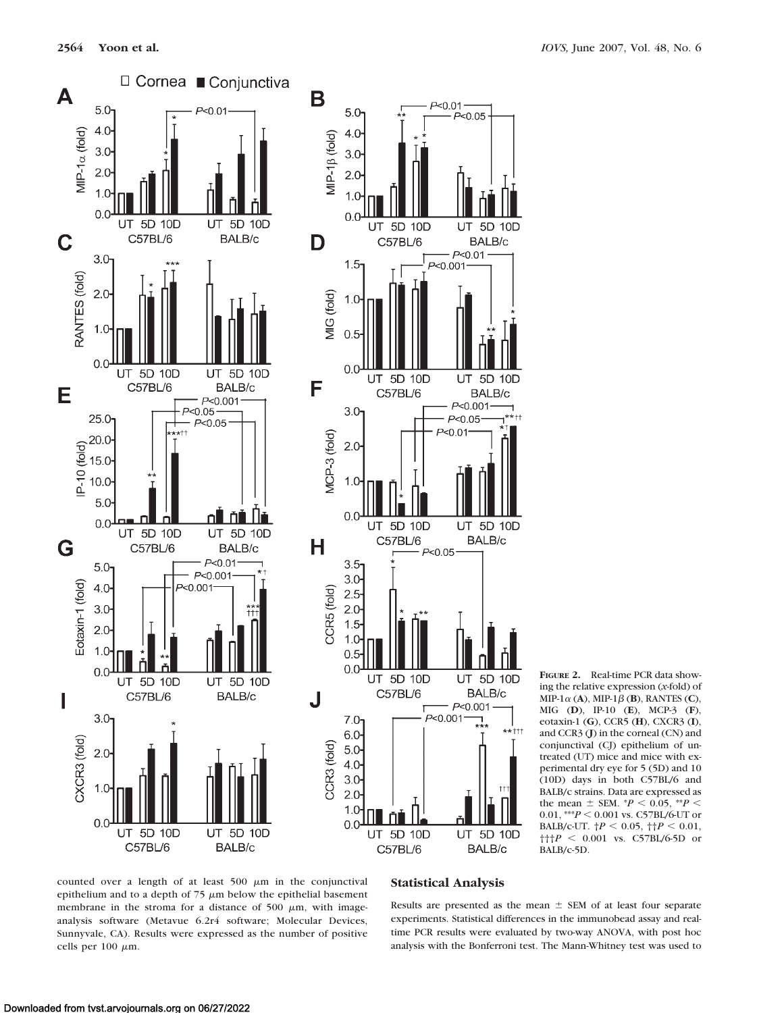

**FIGURE 2.** Real-time PCR data showing the relative expression (*x*-fold) of  $MIP-1\alpha$  (A),  $MIP-1\beta$  (B), RANTES (C), MIG (**D**), IP-10 (**E**), MCP-3 (**F**), eotaxin-1 (**G**), CCR5 (**H**), CXCR3 (**I**), and CCR3 (**J**) in the corneal (CN) and conjunctival (CJ) epithelium of untreated (UT) mice and mice with experimental dry eye for 5 (5D) and 10 (10D) days in both C57BL/6 and BALB/c strains. Data are expressed as the mean  $\pm$  SEM.  $^{*}P$  < 0.05,  $^{**}P$  < 0.01, \*\*\* $P < 0.001$  vs. C57BL/6-UT or BALB/c-UT.  $\uparrow P$  < 0.05,  $\uparrow \uparrow P$  < 0.01, †††*P* 0.001 vs. C57BL/6-5D or BALB/c-5D.

counted over a length of at least  $500 \mu m$  in the conjunctival epithelium and to a depth of  $75 \mu m$  below the epithelial basement membrane in the stroma for a distance of 500  $\mu$ m, with imageanalysis software (Metavue 6.2r4 software; Molecular Devices, Sunnyvale, CA). Results were expressed as the number of positive cells per  $100 \mu m$ .

# **Statistical Analysis**

Results are presented as the mean  $\pm$  SEM of at least four separate experiments. Statistical differences in the immunobead assay and realtime PCR results were evaluated by two-way ANOVA, with post hoc analysis with the Bonferroni test. The Mann-Whitney test was used to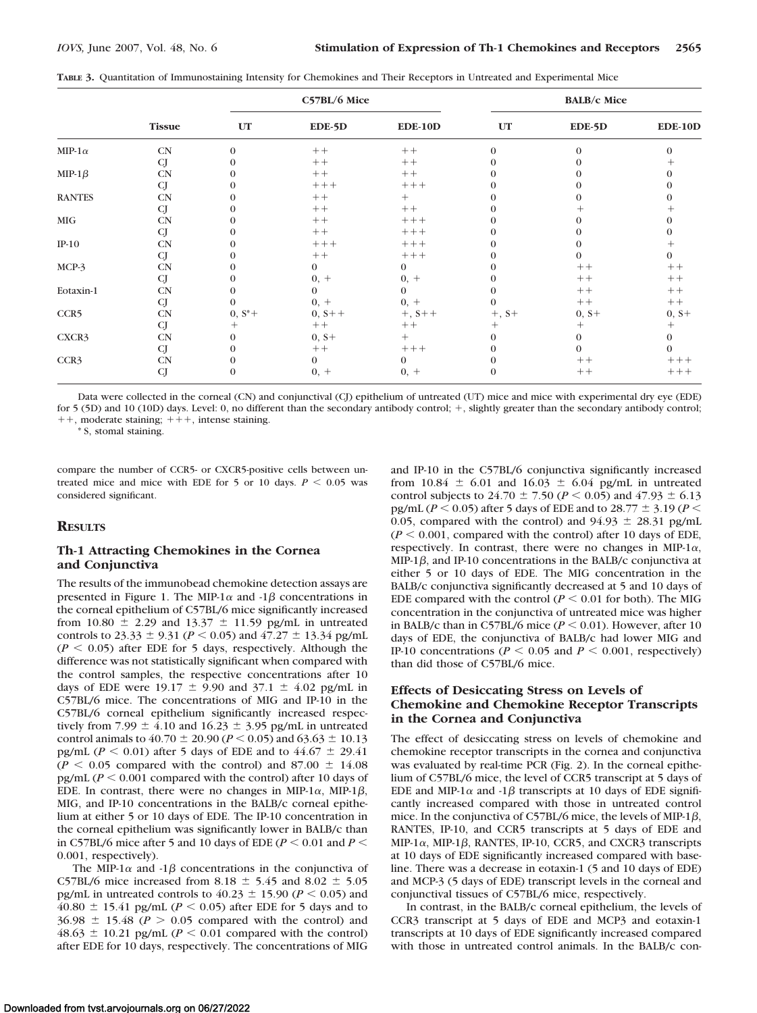|  |  | TABLE 3. Quantitation of Immunostaining Intensity for Chemokines and Their Receptors in Untreated and Experimental Mice |  |  |  |  |
|--|--|-------------------------------------------------------------------------------------------------------------------------|--|--|--|--|
|--|--|-------------------------------------------------------------------------------------------------------------------------|--|--|--|--|

|                |               |                                                      | C57BL/6 Mice |                |                                                      | <b>BALB/c Mice</b> |                |
|----------------|---------------|------------------------------------------------------|--------------|----------------|------------------------------------------------------|--------------------|----------------|
|                | <b>Tissue</b> | $\mathbf{UT}% =\mathbf{X}^{-1}\times\mathbf{A}^{-1}$ | EDE-5D       | <b>EDE-10D</b> | $\mathbf{UT}% =\mathbf{X}^{-1}\times\mathbf{A}^{-1}$ | EDE-5D             | <b>EDE-10D</b> |
| MIP-1 $\alpha$ | <b>CN</b>     | $\mathbf{0}$                                         | $++$         | $++$           | $\Omega$                                             | $\Omega$           | $\Omega$       |
|                | CJ            | $\Omega$                                             | $++$         | $++$           |                                                      | 0                  |                |
| MIP-1 $\beta$  | <b>CN</b>     | $\Omega$                                             | $++$         | $++$           |                                                      | $\Omega$           |                |
|                | CJ            |                                                      | $++++$       | $+++$          |                                                      | $\Omega$           |                |
| <b>RANTES</b>  | <b>CN</b>     | $\Omega$                                             | $++$         | $^{+}$         |                                                      | 0                  |                |
|                | CJ            |                                                      | $++$         | $++$           |                                                      |                    |                |
| MIG            | CN            | $\Omega$                                             | $++$         | $+++$          |                                                      | $\Omega$           |                |
|                | CJ            |                                                      | $++$         | $+++$          |                                                      | $\Omega$           |                |
| $IP-10$        | CN            | $\Omega$                                             | $++++$       | $+++$          |                                                      | $\Omega$           | $^+$           |
|                | CJ            | $\Omega$                                             | $++$         | $+++$          |                                                      | $\Omega$           | 0              |
| MCP-3          | CN            | $\Omega$                                             | $\Omega$     | $\mathbf{0}$   | $\Omega$                                             | $++$               | $++$           |
|                | CJ            | $\Omega$                                             | $0, +$       | $0, +$         |                                                      | $++$               | $++$           |
| Eotaxin-1      | CN            | $\Omega$                                             | $\Omega$     | $\Omega$       | 0                                                    | $++$               | $++$           |
|                | CJ            | $\Omega$                                             | $0, +$       | $0, +$         | $\Omega$                                             | $++$               | $++$           |
| CCR5           | CN            | $0, S^*+$                                            | $0, S++$     | $+, S++$       | $+, S+$                                              | $0, S+$            | $0, S+$        |
|                | <b>CJ</b>     |                                                      | $++$         | $++$           | $^{+}$                                               | $^+$               | $^{+}$         |
| CXCR3          | <b>CN</b>     | $\Omega$                                             | $0, S+$      | $^{+}$         |                                                      | $\Omega$           | $\theta$       |
|                | <b>CJ</b>     | $\Omega$                                             | $++$         | $++++$         | 0                                                    | $\mathbf{0}$       | $\Omega$       |
| CCR3           | <b>CN</b>     | $\theta$                                             | $\Omega$     | $\theta$       |                                                      | $++$               | $++++$         |
|                | CJ            | $\mathbf{0}$                                         | $0, +$       | $0, +$         | $\mathbf{0}$                                         | $++$               | $++++$         |

Data were collected in the corneal (CN) and conjunctival (CJ) epithelium of untreated (UT) mice and mice with experimental dry eye (EDE) for 5 (5D) and 10 (10D) days. Level: 0, no different than the secondary antibody control; +, slightly greater than the secondary antibody control;  $\,++,$  moderate staining;  $+++,$  intense staining.

\* S, stomal staining.

compare the number of CCR5- or CXCR5-positive cells between untreated mice and mice with EDE for 5 or 10 days.  $P < 0.05$  was considered significant.

#### **RESULTS**

#### **Th-1 Attracting Chemokines in the Cornea and Conjunctiva**

The results of the immunobead chemokine detection assays are presented in Figure 1. The MIP-1 $\alpha$  and -1 $\beta$  concentrations in the corneal epithelium of C57BL/6 mice significantly increased from 10.80  $\pm$  2.29 and 13.37  $\pm$  11.59 pg/mL in untreated controls to 23.33  $\pm$  9.31 (*P* < 0.05) and 47.27  $\pm$  13.34 pg/mL  $(P < 0.05)$  after EDE for 5 days, respectively. Although the difference was not statistically significant when compared with the control samples, the respective concentrations after 10 days of EDE were 19.17  $\pm$  9.90 and 37.1  $\pm$  4.02 pg/mL in C57BL/6 mice. The concentrations of MIG and IP-10 in the C57BL/6 corneal epithelium significantly increased respectively from 7.99  $\pm$  4.10 and 16.23  $\pm$  3.95 pg/mL in untreated control animals to  $40.70 \pm 20.90$  ( $P < 0.05$ ) and  $63.63 \pm 10.13$ pg/mL ( $P < 0.01$ ) after 5 days of EDE and to  $44.67 \pm 29.41$  $(P \le 0.05$  compared with the control) and 87.00  $\pm$  14.08 pg/mL ( $P \le 0.001$  compared with the control) after 10 days of EDE. In contrast, there were no changes in MIP-1 $\alpha$ , MIP-1 $\beta$ , MIG, and IP-10 concentrations in the BALB/c corneal epithelium at either 5 or 10 days of EDE. The IP-10 concentration in the corneal epithelium was significantly lower in BALB/c than in C57BL/6 mice after 5 and 10 days of EDE ( $P < 0.01$  and  $P <$ 0.001, respectively).

The MIP-1 $\alpha$  and -1 $\beta$  concentrations in the conjunctiva of C57BL/6 mice increased from 8.18  $\pm$  5.45 and 8.02  $\pm$  5.05 pg/mL in untreated controls to  $40.23 \pm 15.90$  ( $P \le 0.05$ ) and  $40.80 \pm 15.41$  pg/mL ( $P < 0.05$ ) after EDE for 5 days and to  $36.98 \pm 15.48$  ( $P > 0.05$  compared with the control) and  $48.63 \pm 10.21$  pg/mL ( $P \le 0.01$  compared with the control) after EDE for 10 days, respectively. The concentrations of MIG and IP-10 in the C57BL/6 conjunctiva significantly increased from  $10.84 \pm 6.01$  and  $16.03 \pm 6.04$  pg/mL in untreated control subjects to 24.70  $\pm$  7.50 (*P* < 0.05) and 47.93  $\pm$  6.13 pg/mL ( $P$  < 0.05) after 5 days of EDE and to 28.77  $\pm$  3.19 ( $P$  < 0.05, compared with the control) and  $94.93 \pm 28.31$  pg/mL  $(P \le 0.001$ , compared with the control) after 10 days of EDE, respectively. In contrast, there were no changes in MIP-1 $\alpha$ ,  $MIP-1\beta$ , and IP-10 concentrations in the BALB/c conjunctiva at either 5 or 10 days of EDE. The MIG concentration in the BALB/c conjunctiva significantly decreased at 5 and 10 days of EDE compared with the control ( $P \le 0.01$  for both). The MIG concentration in the conjunctiva of untreated mice was higher in BALB/c than in C57BL/6 mice  $(P < 0.01)$ . However, after 10 days of EDE, the conjunctiva of BALB/c had lower MIG and IP-10 concentrations ( $P \le 0.05$  and  $P \le 0.001$ , respectively) than did those of C57BL/6 mice.

#### **Effects of Desiccating Stress on Levels of Chemokine and Chemokine Receptor Transcripts in the Cornea and Conjunctiva**

The effect of desiccating stress on levels of chemokine and chemokine receptor transcripts in the cornea and conjunctiva was evaluated by real-time PCR (Fig. 2). In the corneal epithelium of C57BL/6 mice, the level of CCR5 transcript at 5 days of EDE and MIP-1 $\alpha$  and -1 $\beta$  transcripts at 10 days of EDE significantly increased compared with those in untreated control mice. In the conjunctiva of C57BL/6 mice, the levels of MIP-1 $\beta$ , RANTES, IP-10, and CCR5 transcripts at 5 days of EDE and  $MIP-1\alpha$ ,  $MIP-1\beta$ , RANTES, IP-10, CCR5, and CXCR3 transcripts at 10 days of EDE significantly increased compared with baseline. There was a decrease in eotaxin-1 (5 and 10 days of EDE) and MCP-3 (5 days of EDE) transcript levels in the corneal and conjunctival tissues of C57BL/6 mice, respectively.

In contrast, in the BALB/c corneal epithelium, the levels of CCR3 transcript at 5 days of EDE and MCP3 and eotaxin-1 transcripts at 10 days of EDE significantly increased compared with those in untreated control animals. In the BALB/c con-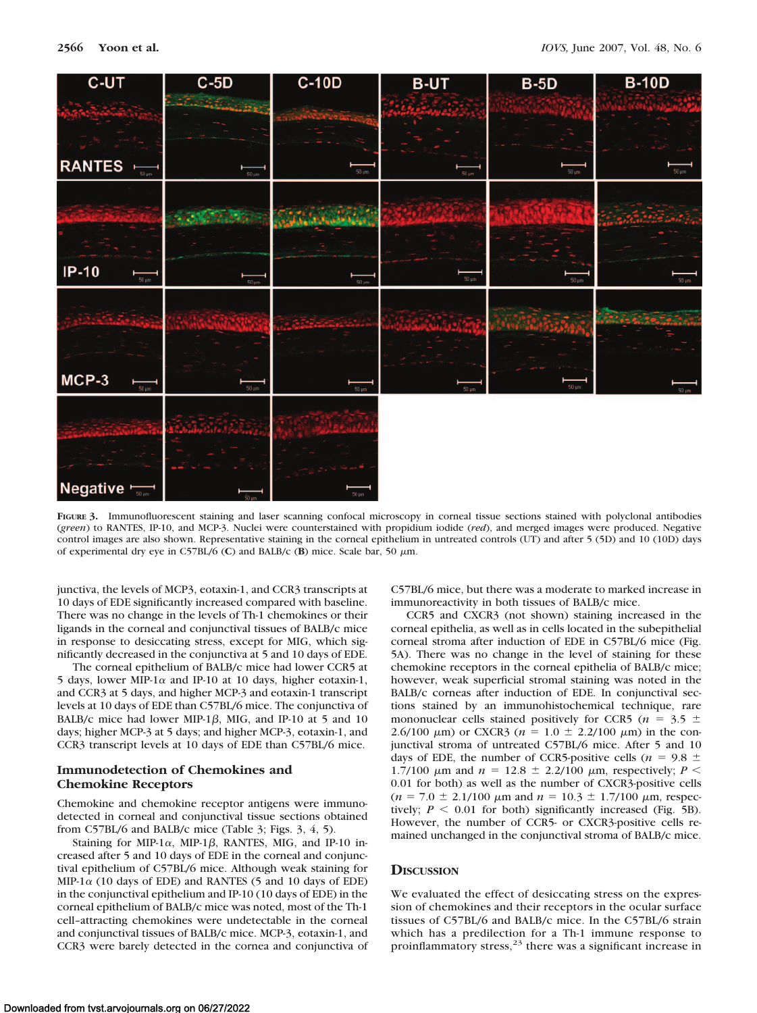

**FIGURE 3.** Immunofluorescent staining and laser scanning confocal microscopy in corneal tissue sections stained with polyclonal antibodies (*green*) to RANTES, IP-10, and MCP-3. Nuclei were counterstained with propidium iodide (*red*), and merged images were produced. Negative control images are also shown. Representative staining in the corneal epithelium in untreated controls (UT) and after 5 (5D) and 10 (10D) days of experimental dry eye in C57BL/6 (C) and BALB/c (B) mice. Scale bar, 50  $\mu$ m.

junctiva, the levels of MCP3, eotaxin-1, and CCR3 transcripts at 10 days of EDE significantly increased compared with baseline. There was no change in the levels of Th-1 chemokines or their ligands in the corneal and conjunctival tissues of BALB/c mice in response to desiccating stress, except for MIG, which significantly decreased in the conjunctiva at 5 and 10 days of EDE.

The corneal epithelium of BALB/c mice had lower CCR5 at 5 days, lower MIP-1 $\alpha$  and IP-10 at 10 days, higher eotaxin-1, and CCR3 at 5 days, and higher MCP-3 and eotaxin-1 transcript levels at 10 days of EDE than C57BL/6 mice. The conjunctiva of BALB/c mice had lower MIP-1 $\beta$ , MIG, and IP-10 at 5 and 10 days; higher MCP-3 at 5 days; and higher MCP-3, eotaxin-1, and CCR3 transcript levels at 10 days of EDE than C57BL/6 mice.

## **Immunodetection of Chemokines and Chemokine Receptors**

Chemokine and chemokine receptor antigens were immunodetected in corneal and conjunctival tissue sections obtained from C57BL/6 and BALB/c mice (Table 3; Figs. 3, 4, 5).

Staining for MIP-1 $\alpha$ , MIP-1 $\beta$ , RANTES, MIG, and IP-10 increased after 5 and 10 days of EDE in the corneal and conjunctival epithelium of C57BL/6 mice. Although weak staining for MIP-1 $\alpha$  (10 days of EDE) and RANTES (5 and 10 days of EDE) in the conjunctival epithelium and IP-10 (10 days of EDE) in the corneal epithelium of BALB/c mice was noted, most of the Th-1 cell–attracting chemokines were undetectable in the corneal and conjunctival tissues of BALB/c mice. MCP-3, eotaxin-1, and CCR3 were barely detected in the cornea and conjunctiva of C57BL/6 mice, but there was a moderate to marked increase in immunoreactivity in both tissues of BALB/c mice.

CCR5 and CXCR3 (not shown) staining increased in the corneal epithelia, as well as in cells located in the subepithelial corneal stroma after induction of EDE in C57BL/6 mice (Fig. 5A). There was no change in the level of staining for these chemokine receptors in the corneal epithelia of BALB/c mice; however, weak superficial stromal staining was noted in the BALB/c corneas after induction of EDE. In conjunctival sections stained by an immunohistochemical technique, rare mononuclear cells stained positively for CCR5 ( $n = 3.5 \pm$ 2.6/100  $\mu$ m) or CXCR3 ( $n = 1.0 \pm 2.2/100 \mu$ m) in the conjunctival stroma of untreated C57BL/6 mice. After 5 and 10 days of EDE, the number of CCR5-positive cells ( $n = 9.8 \pm$ 1.7/100  $\mu$ m and  $n = 12.8 \pm 2.2/100 \mu$ m, respectively;  $P \le$ 0.01 for both) as well as the number of CXCR3-positive cells  $(n = 7.0 \pm 2.1/100 \mu m$  and  $n = 10.3 \pm 1.7/100 \mu m$ , respectively;  $P \le 0.01$  for both) significantly increased (Fig. 5B). However, the number of CCR5- or CXCR3-positive cells remained unchanged in the conjunctival stroma of BALB/c mice.

#### **DISCUSSION**

We evaluated the effect of desiccating stress on the expression of chemokines and their receptors in the ocular surface tissues of C57BL/6 and BALB/c mice. In the C57BL/6 strain which has a predilection for a Th-1 immune response to proinflammatory stress,<sup>23</sup> there was a significant increase in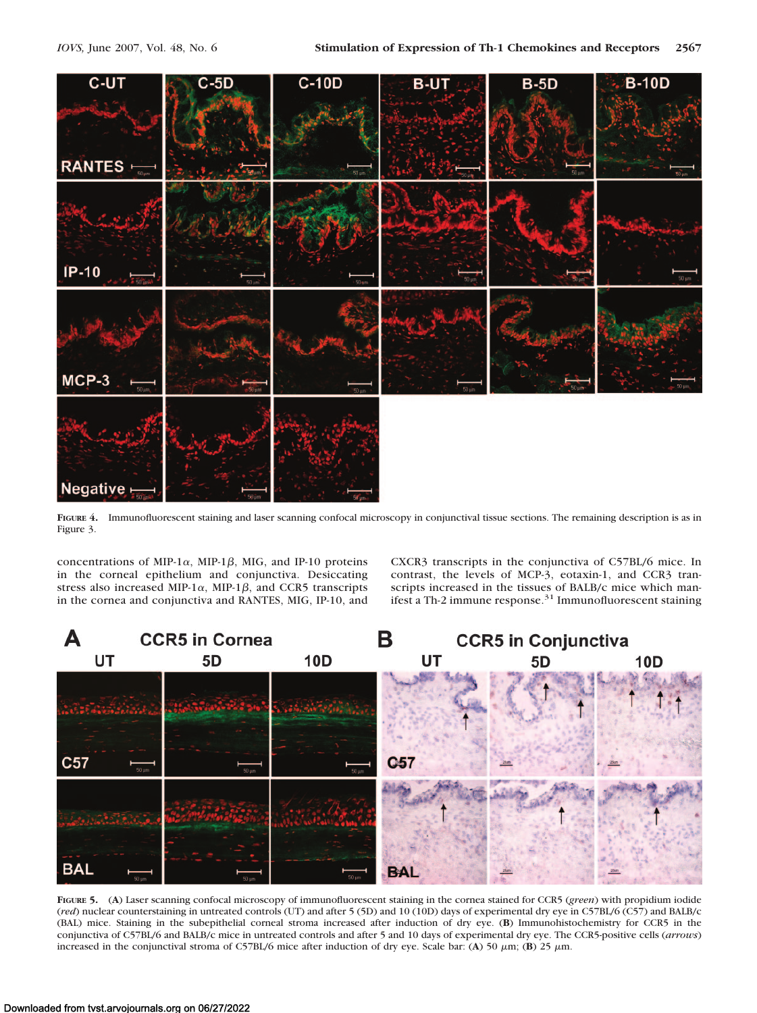

**FIGURE 4.** Immunofluorescent staining and laser scanning confocal microscopy in conjunctival tissue sections. The remaining description is as in Figure 3.

concentrations of MIP-1 $\alpha$ , MIP-1 $\beta$ , MIG, and IP-10 proteins in the corneal epithelium and conjunctiva. Desiccating stress also increased MIP-1 $\alpha$ , MIP-1 $\beta$ , and CCR5 transcripts in the cornea and conjunctiva and RANTES, MIG, IP-10, and CXCR3 transcripts in the conjunctiva of C57BL/6 mice. In contrast, the levels of MCP-3, eotaxin-1, and CCR3 transcripts increased in the tissues of BALB/c mice which manifest a Th-2 immune response.<sup>31</sup> Immunofluorescent staining



**FIGURE 5.** (**A**) Laser scanning confocal microscopy of immunofluorescent staining in the cornea stained for CCR5 (*green*) with propidium iodide (*red*) nuclear counterstaining in untreated controls (UT) and after 5 (5D) and 10 (10D) days of experimental dry eye in C57BL/6 (C57) and BALB/c (BAL) mice. Staining in the subepithelial corneal stroma increased after induction of dry eye. (**B**) Immunohistochemistry for CCR5 in the conjunctiva of C57BL/6 and BALB/c mice in untreated controls and after 5 and 10 days of experimental dry eye. The CCR5-positive cells (*arrows*) increased in the conjunctival stroma of C57BL/6 mice after induction of dry eye. Scale bar: (**A**) 50  $\mu$ m; (**B**) 25  $\mu$ m.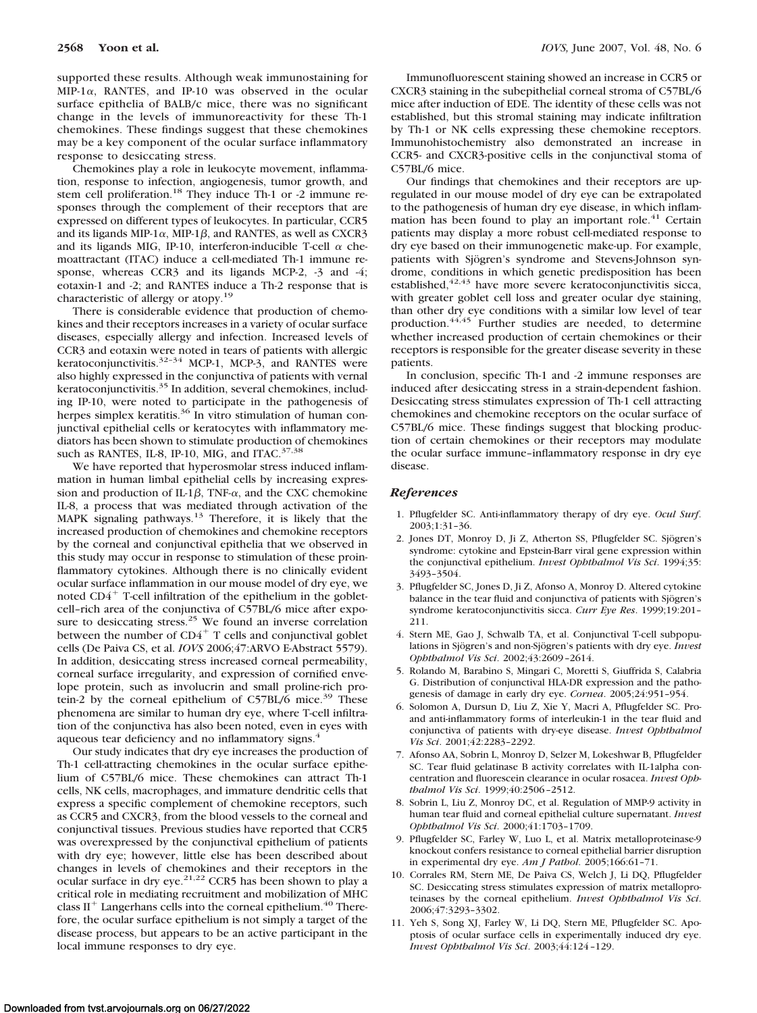supported these results. Although weak immunostaining for MIP-1 $\alpha$ , RANTES, and IP-10 was observed in the ocular surface epithelia of BALB/c mice, there was no significant change in the levels of immunoreactivity for these Th-1 chemokines. These findings suggest that these chemokines may be a key component of the ocular surface inflammatory response to desiccating stress.

Chemokines play a role in leukocyte movement, inflammation, response to infection, angiogenesis, tumor growth, and stem cell proliferation.<sup>18</sup> They induce Th-1 or -2 immune responses through the complement of their receptors that are expressed on different types of leukocytes. In particular, CCR5 and its ligands MIP-1 $\alpha$ , MIP-1 $\beta$ , and RANTES, as well as CXCR3 and its ligands MIG, IP-10, interferon-inducible T-cell  $\alpha$  chemoattractant (ITAC) induce a cell-mediated Th-1 immune response, whereas CCR3 and its ligands MCP-2, -3 and -4; eotaxin-1 and -2; and RANTES induce a Th-2 response that is characteristic of allergy or atopy.<sup>19</sup>

There is considerable evidence that production of chemokines and their receptors increases in a variety of ocular surface diseases, especially allergy and infection. Increased levels of CCR3 and eotaxin were noted in tears of patients with allergic keratoconjunctivitis. $32-34$  MCP-1, MCP-3, and RANTES were also highly expressed in the conjunctiva of patients with vernal keratoconjunctivitis.<sup>35</sup> In addition, several chemokines, including IP-10, were noted to participate in the pathogenesis of herpes simplex keratitis.<sup>36</sup> In vitro stimulation of human conjunctival epithelial cells or keratocytes with inflammatory mediators has been shown to stimulate production of chemokines such as RANTES, IL-8, IP-10, MIG, and ITAC. $37,38$ 

We have reported that hyperosmolar stress induced inflammation in human limbal epithelial cells by increasing expression and production of IL-1 $\beta$ , TNF- $\alpha$ , and the CXC chemokine IL-8, a process that was mediated through activation of the MAPK signaling pathways.13 Therefore, it is likely that the increased production of chemokines and chemokine receptors by the corneal and conjunctival epithelia that we observed in this study may occur in response to stimulation of these proinflammatory cytokines. Although there is no clinically evident ocular surface inflammation in our mouse model of dry eye, we noted  $CD4^+$  T-cell infiltration of the epithelium in the gobletcell–rich area of the conjunctiva of C57BL/6 mice after exposure to desiccating stress.<sup>25</sup> We found an inverse correlation between the number of  $CD4^+$  T cells and conjunctival goblet cells (De Paiva CS, et al. *IOVS* 2006;47:ARVO E-Abstract 5579). In addition, desiccating stress increased corneal permeability, corneal surface irregularity, and expression of cornified envelope protein, such as involucrin and small proline-rich protein-2 by the corneal epithelium of  $C57BL/6$  mice.<sup>39</sup> These phenomena are similar to human dry eye, where T-cell infiltration of the conjunctiva has also been noted, even in eyes with aqueous tear deficiency and no inflammatory signs.<sup>4</sup>

Our study indicates that dry eye increases the production of Th-1 cell-attracting chemokines in the ocular surface epithelium of C57BL/6 mice. These chemokines can attract Th-1 cells, NK cells, macrophages, and immature dendritic cells that express a specific complement of chemokine receptors, such as CCR5 and CXCR3, from the blood vessels to the corneal and conjunctival tissues. Previous studies have reported that CCR5 was overexpressed by the conjunctival epithelium of patients with dry eye; however, little else has been described about changes in levels of chemokines and their receptors in the ocular surface in dry eye.<sup>21,22</sup> CCR5 has been shown to play a critical role in mediating recruitment and mobilization of MHC class  $II<sup>+</sup>$  Langerhans cells into the corneal epithelium.<sup>40</sup> Therefore, the ocular surface epithelium is not simply a target of the disease process, but appears to be an active participant in the local immune responses to dry eye.

Immunofluorescent staining showed an increase in CCR5 or CXCR3 staining in the subepithelial corneal stroma of C57BL/6 mice after induction of EDE. The identity of these cells was not established, but this stromal staining may indicate infiltration by Th-1 or NK cells expressing these chemokine receptors. Immunohistochemistry also demonstrated an increase in CCR5- and CXCR3-positive cells in the conjunctival stoma of C57BL/6 mice.

Our findings that chemokines and their receptors are upregulated in our mouse model of dry eye can be extrapolated to the pathogenesis of human dry eye disease, in which inflammation has been found to play an important role. $41$  Certain patients may display a more robust cell-mediated response to dry eye based on their immunogenetic make-up. For example, patients with Sjögren's syndrome and Stevens-Johnson syndrome, conditions in which genetic predisposition has been established, $42,43$  have more severe keratoconjunctivitis sicca, with greater goblet cell loss and greater ocular dye staining, than other dry eye conditions with a similar low level of tear production.<sup>44,45</sup> Further studies are needed, to determine whether increased production of certain chemokines or their receptors is responsible for the greater disease severity in these patients.

In conclusion, specific Th-1 and -2 immune responses are induced after desiccating stress in a strain-dependent fashion. Desiccating stress stimulates expression of Th-1 cell attracting chemokines and chemokine receptors on the ocular surface of C57BL/6 mice. These findings suggest that blocking production of certain chemokines or their receptors may modulate the ocular surface immune–inflammatory response in dry eye disease.

#### *References*

- 1. Pflugfelder SC. Anti-inflammatory therapy of dry eye. *Ocul Surf*. 2003;1:31–36.
- 2. Jones DT, Monroy D, Ji Z, Atherton SS, Pflugfelder SC. Sjögren's syndrome: cytokine and Epstein-Barr viral gene expression within the conjunctival epithelium. *Invest Ophthalmol Vis Sci*. 1994;35: 3493–3504.
- 3. Pflugfelder SC, Jones D, Ji Z, Afonso A, Monroy D. Altered cytokine balance in the tear fluid and conjunctiva of patients with Sjögren's syndrome keratoconjunctivitis sicca. *Curr Eye Res*. 1999;19:201– 211.
- 4. Stern ME, Gao J, Schwalb TA, et al. Conjunctival T-cell subpopulations in Sjögren's and non-Sjögren's patients with dry eye. *Invest Ophthalmol Vis Sci*. 2002;43:2609 –2614.
- 5. Rolando M, Barabino S, Mingari C, Moretti S, Giuffrida S, Calabria G. Distribution of conjunctival HLA-DR expression and the pathogenesis of damage in early dry eye. *Cornea*. 2005;24:951–954.
- 6. Solomon A, Dursun D, Liu Z, Xie Y, Macri A, Pflugfelder SC. Proand anti-inflammatory forms of interleukin-1 in the tear fluid and conjunctiva of patients with dry-eye disease. *Invest Ophthalmol Vis Sci*. 2001;42:2283–2292.
- 7. Afonso AA, Sobrin L, Monroy D, Selzer M, Lokeshwar B, Pflugfelder SC. Tear fluid gelatinase B activity correlates with IL-1alpha concentration and fluorescein clearance in ocular rosacea. *Invest Ophthalmol Vis Sci*. 1999;40:2506 –2512.
- 8. Sobrin L, Liu Z, Monroy DC, et al. Regulation of MMP-9 activity in human tear fluid and corneal epithelial culture supernatant. *Invest Ophthalmol Vis Sci*. 2000;41:1703–1709.
- 9. Pflugfelder SC, Farley W, Luo L, et al. Matrix metalloproteinase-9 knockout confers resistance to corneal epithelial barrier disruption in experimental dry eye. *Am J Pathol*. 2005;166:61–71.
- 10. Corrales RM, Stern ME, De Paiva CS, Welch J, Li DQ, Pflugfelder SC. Desiccating stress stimulates expression of matrix metalloproteinases by the corneal epithelium. *Invest Ophthalmol Vis Sci*. 2006;47:3293–3302.
- 11. Yeh S, Song XJ, Farley W, Li DQ, Stern ME, Pflugfelder SC. Apoptosis of ocular surface cells in experimentally induced dry eye. *Invest Ophthalmol Vis Sci*. 2003;44:124 –129.